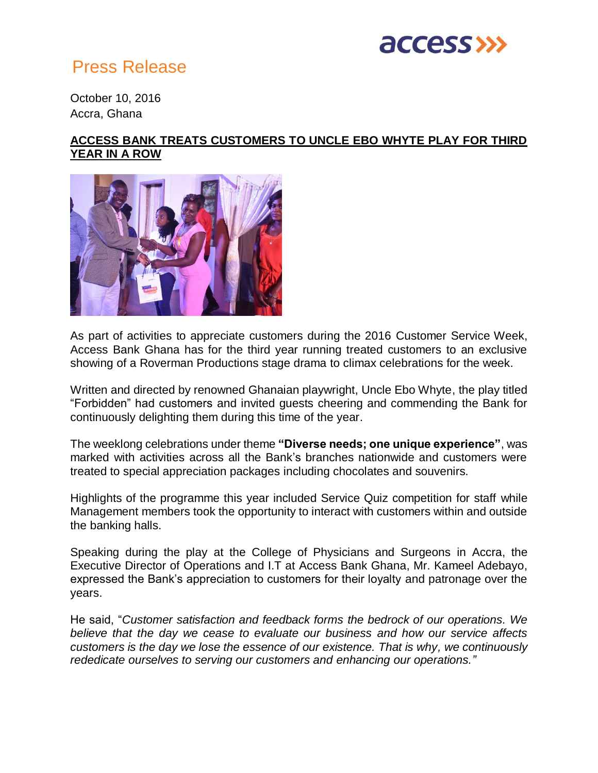

## Press Release

October 10, 2016 Accra, Ghana

## **ACCESS BANK TREATS CUSTOMERS TO UNCLE EBO WHYTE PLAY FOR THIRD YEAR IN A ROW**



As part of activities to appreciate customers during the 2016 Customer Service Week, Access Bank Ghana has for the third year running treated customers to an exclusive showing of a Roverman Productions stage drama to climax celebrations for the week.

Written and directed by renowned Ghanaian playwright, Uncle Ebo Whyte, the play titled "Forbidden" had customers and invited guests cheering and commending the Bank for continuously delighting them during this time of the year.

The weeklong celebrations under theme **"Diverse needs; one unique experience"**, was marked with activities across all the Bank's branches nationwide and customers were treated to special appreciation packages including chocolates and souvenirs.

Highlights of the programme this year included Service Quiz competition for staff while Management members took the opportunity to interact with customers within and outside the banking halls.

Speaking during the play at the College of Physicians and Surgeons in Accra, the Executive Director of Operations and I.T at Access Bank Ghana, Mr. Kameel Adebayo, expressed the Bank's appreciation to customers for their loyalty and patronage over the years.

He said, "*Customer satisfaction and feedback forms the bedrock of our operations. We believe that the day we cease to evaluate our business and how our service affects customers is the day we lose the essence of our existence. That is why, we continuously rededicate ourselves to serving our customers and enhancing our operations."*